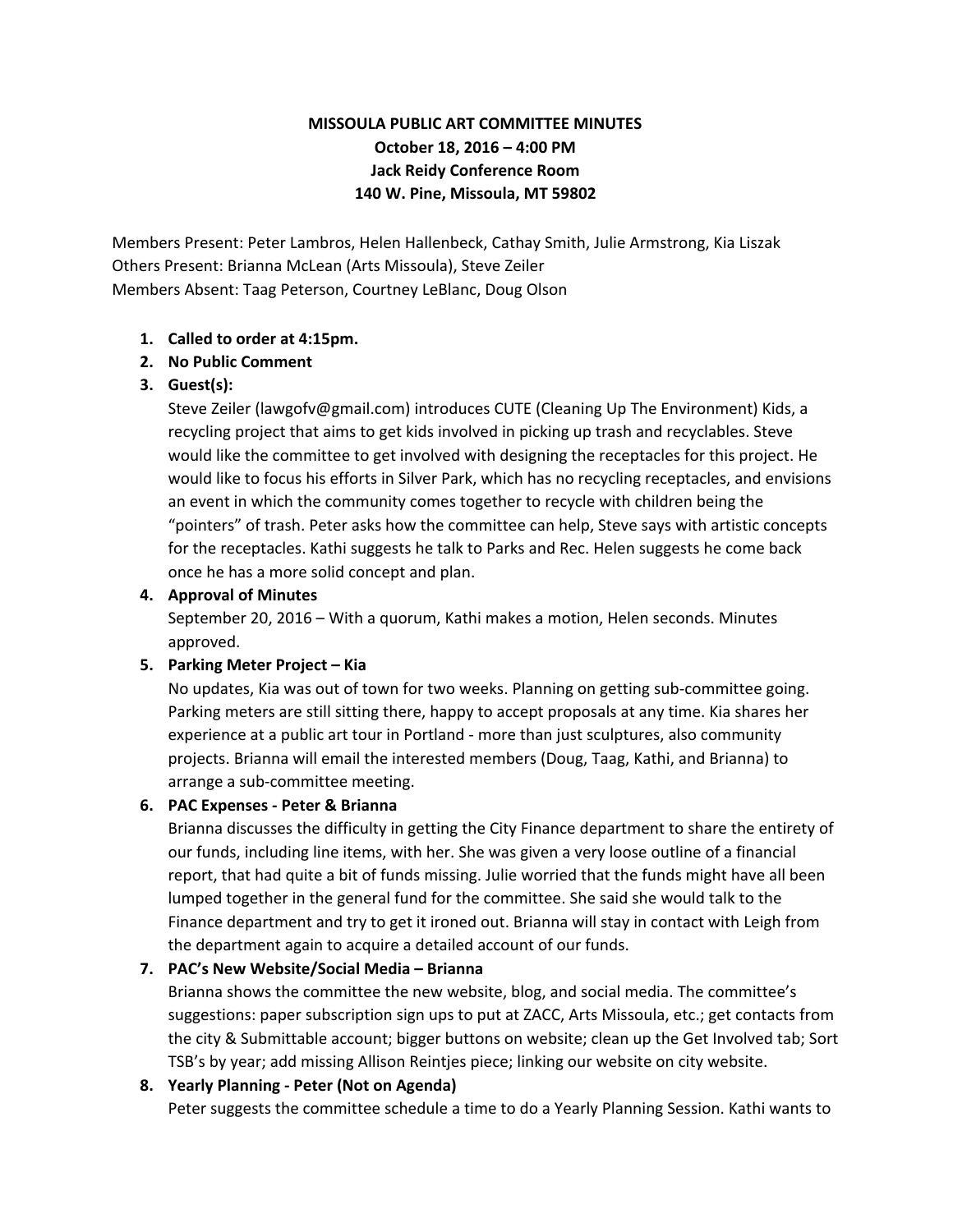# **MISSOULA PUBLIC ART COMMITTEE MINUTES October 18, 2016 – 4:00 PM Jack Reidy Conference Room 140 W. Pine, Missoula, MT 59802**

Members Present: Peter Lambros, Helen Hallenbeck, Cathay Smith, Julie Armstrong, Kia Liszak Others Present: Brianna McLean (Arts Missoula), Steve Zeiler Members Absent: Taag Peterson, Courtney LeBlanc, Doug Olson

# **1. Called to order at 4:15pm.**

# **2. No Public Comment**

# **3. Guest(s):**

Steve Zeiler (lawgofv@gmail.com) introduces CUTE (Cleaning Up The Environment) Kids, a recycling project that aims to get kids involved in picking up trash and recyclables. Steve would like the committee to get involved with designing the receptacles for this project. He would like to focus his efforts in Silver Park, which has no recycling receptacles, and envisions an event in which the community comes together to recycle with children being the "pointers" of trash. Peter asks how the committee can help, Steve says with artistic concepts for the receptacles. Kathi suggests he talk to Parks and Rec. Helen suggests he come back once he has a more solid concept and plan.

#### **4. Approval of Minutes**

September 20, 2016 – With a quorum, Kathi makes a motion, Helen seconds. Minutes approved.

#### **5. Parking Meter Project – Kia**

No updates, Kia was out of town for two weeks. Planning on getting sub-committee going. Parking meters are still sitting there, happy to accept proposals at any time. Kia shares her experience at a public art tour in Portland - more than just sculptures, also community projects. Brianna will email the interested members (Doug, Taag, Kathi, and Brianna) to arrange a sub-committee meeting.

# **6. PAC Expenses - Peter & Brianna**

Brianna discusses the difficulty in getting the City Finance department to share the entirety of our funds, including line items, with her. She was given a very loose outline of a financial report, that had quite a bit of funds missing. Julie worried that the funds might have all been lumped together in the general fund for the committee. She said she would talk to the Finance department and try to get it ironed out. Brianna will stay in contact with Leigh from the department again to acquire a detailed account of our funds.

# **7. PAC's New Website/Social Media – Brianna**

Brianna shows the committee the new website, blog, and social media. The committee's suggestions: paper subscription sign ups to put at ZACC, Arts Missoula, etc.; get contacts from the city & Submittable account; bigger buttons on website; clean up the Get Involved tab; Sort TSB's by year; add missing Allison Reintjes piece; linking our website on city website.

# **8. Yearly Planning - Peter (Not on Agenda)**

Peter suggests the committee schedule a time to do a Yearly Planning Session. Kathi wants to